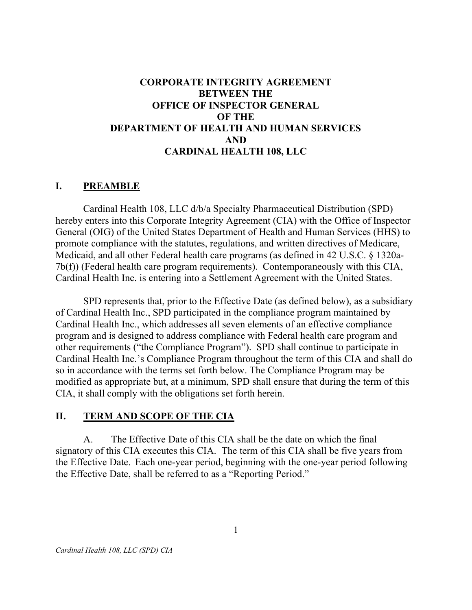### BETWEEN THE OFFICE OF INSPECTOR GENERAL OF THE DEPARTMENT OF HEALTH AND HUMAN SERVICES CARDINAL HEALTH 108, LLC CORPORATE INTEGRITY AGREEMENT AND

### I. PREAMBLE

 Cardinal Health 108, LLC d/b/a Specialty Pharmaceutical Distribution (SPD) hereby enters into this Corporate Integrity Agreement (CIA) with the Office of Inspector General (OIG) of the United States Department of Health and Human Services (HHS) to promote compliance with the statutes, regulations, and written directives of Medicare, Medicaid, and all other Federal health care programs (as defined in 42 U.S.C. § 1320a- 7b(f)) (Federal health care program requirements). Contemporaneously with this CIA, Cardinal Health Inc. is entering into a Settlement Agreement with the United States.

 SPD represents that, prior to the Effective Date (as defined below), as a subsidiary of Cardinal Health Inc., SPD participated in the compliance program maintained by Cardinal Health Inc., which addresses all seven elements of an effective compliance program and is designed to address compliance with Federal health care program and other requirements ("the Compliance Program"). SPD shall continue to participate in Cardinal Health Inc.'s Compliance Program throughout the term of this CIA and shall do so in accordance with the terms set forth below. The Compliance Program may be modified as appropriate but, at a minimum, SPD shall ensure that during the term of this CIA, it shall comply with the obligations set forth herein.

### II. TERM AND SCOPE OF THE CIA

 $A_{\cdot}$  signatory of this CIA executes this CIA. The term of this CIA shall be five years from the Effective Date. Each one-year period, beginning with the one-year period following the Effective Date, shall be referred to as a "Reporting Period." The Effective Date of this CIA shall be the date on which the final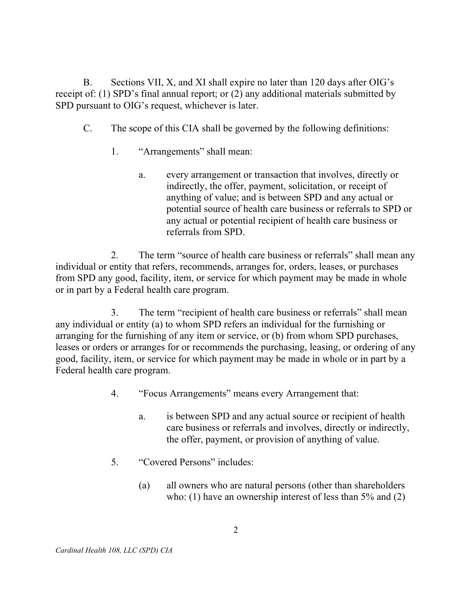$B<sub>r</sub>$  receipt of: (1) SPD's final annual report; or (2) any additional materials submitted by SPD pursuant to OIG's request, whichever is later. B. Sections VII, X, and XI shall expire no later than 120 days after OIG's

- $C_{\cdot}$ The scope of this CIA shall be governed by the following definitions:
	- 1. "Arrangements" shall mean:
		- a. indirectly, the offer, payment, solicitation, or receipt of anything of value; and is between SPD and any actual or potential source of health care business or referrals to SPD or any actual or potential recipient of health care business or referrals from SPD. every arrangement or transaction that involves, directly or

 $2<sub>1</sub>$  individual or entity that refers, recommends, arranges for, orders, leases, or purchases from SPD any good, facility, item, or service for which payment may be made in whole or in part by a Federal health care program. The term "source of health care business or referrals" shall mean any

3. any individual or entity (a) to whom SPD refers an individual for the furnishing or arranging for the furnishing of any item or service, or (b) from whom SPD purchases, leases or orders or arranges for or recommends the purchasing, leasing, or ordering of any good, facility, item, or service for which payment may be made in whole or in part by a Federal health care program. The term "recipient of health care business or referrals" shall mean

- $\mathbf{4}$ . "Focus Arrangements" means every Arrangement that:
	- a. care business or referrals and involves, directly or indirectly, the offer, payment, or provision of anything of value. is between SPD and any actual source or recipient of health
- 5. 5. "Covered Persons" includes:
	- (a) who: (1) have an ownership interest of less than 5% and (2) all owners who are natural persons (other than shareholders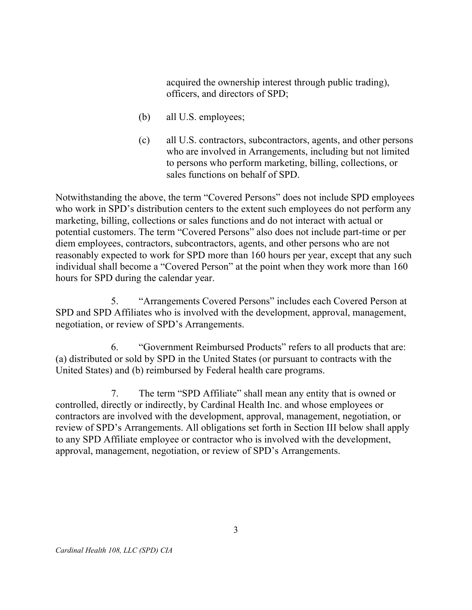acquired the ownership interest through public trading), officers, and directors of SPD;

- (b) all U.S. employees;
- $(c)$  who are involved in Arrangements, including but not limited to persons who perform marketing, billing, collections, or sales functions on behalf of SPD. all U.S. contractors, subcontractors, agents, and other persons

 Notwithstanding the above, the term "Covered Persons" does not include SPD employees who work in SPD's distribution centers to the extent such employees do not perform any marketing, billing, collections or sales functions and do not interact with actual or potential customers. The term "Covered Persons" also does not include part-time or per diem employees, contractors, subcontractors, agents, and other persons who are not reasonably expected to work for SPD more than 160 hours per year, except that any such individual shall become a "Covered Person" at the point when they work more than 160 hours for SPD during the calendar year.

5. SPD and SPD Affiliates who is involved with the development, approval, management, negotiation, or review of SPD's Arrangements. 5. "Arrangements Covered Persons" includes each Covered Person at

 6. "Government Reimbursed Products" refers to all products that are: (a) distributed or sold by SPD in the United States (or pursuant to contracts with the United States) and (b) reimbursed by Federal health care programs.

7. controlled, directly or indirectly, by Cardinal Health Inc. and whose employees or contractors are involved with the development, approval, management, negotiation, or review of SPD's Arrangements. All obligations set forth in Section III below shall apply to any SPD Affiliate employee or contractor who is involved with the development, approval, management, negotiation, or review of SPD's Arrangements. The term "SPD Affiliate" shall mean any entity that is owned or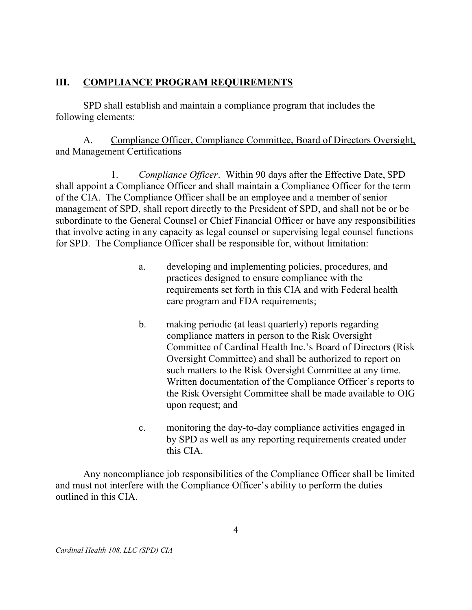### III. COMPLIANCE PROGRAM REQUIREMENTS

 SPD shall establish and maintain a compliance program that includes the following elements:

### $\mathsf{A}$ . and Management Certifications Compliance Officer, Compliance Committee, Board of Directors Oversight,

1. shall appoint a Compliance Officer and shall maintain a Compliance Officer for the term of the CIA. The Compliance Officer shall be an employee and a member of senior management of SPD, shall report directly to the President of SPD, and shall not be or be subordinate to the General Counsel or Chief Financial Officer or have any responsibilities that involve acting in any capacity as legal counsel or supervising legal counsel functions for SPD. The Compliance Officer shall be responsible for, without limitation: Compliance Officer. Within 90 days after the Effective Date, SPD

- a. developing and implementing policies, procedures, and practices designed to ensure compliance with the requirements set forth in this CIA and with Federal health care program and FDA requirements;
- $\mathbf{b}$ . compliance matters in person to the Risk Oversight Committee of Cardinal Health Inc.'s Board of Directors (Risk Oversight Committee) and shall be authorized to report on such matters to the Risk Oversight Committee at any time. Written documentation of the Compliance Officer's reports to the Risk Oversight Committee shall be made available to OIG upon request; and making periodic (at least quarterly) reports regarding
- c. monitoring the day-to-day compliance activities engaged in by SPD as well as any reporting requirements created under this CIA.

 Any noncompliance job responsibilities of the Compliance Officer shall be limited and must not interfere with the Compliance Officer's ability to perform the duties outlined in this CIA.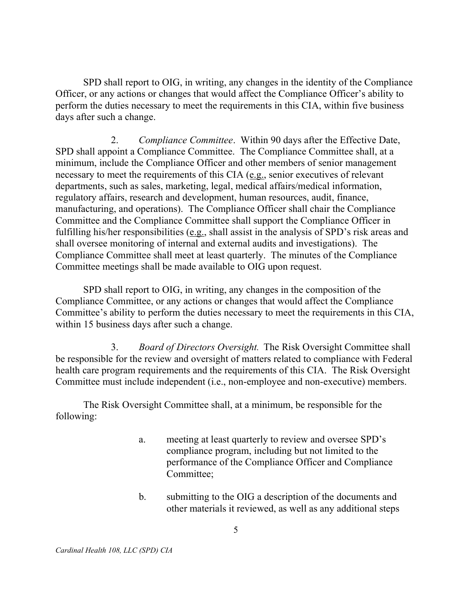SPD shall report to OIG, in writing, any changes in the identity of the Compliance Officer, or any actions or changes that would affect the Compliance Officer's ability to perform the duties necessary to meet the requirements in this CIA, within five business days after such a change.

 $2.$  SPD shall appoint a Compliance Committee. The Compliance Committee shall, at a minimum, include the Compliance Officer and other members of senior management necessary to meet the requirements of this CIA (e.g., senior executives of relevant departments, such as sales, marketing, legal, medical affairs/medical information, regulatory affairs, research and development, human resources, audit, finance, manufacturing, and operations). The Compliance Officer shall chair the Compliance Committee and the Compliance Committee shall support the Compliance Officer in fulfilling his/her responsibilities (e.g., shall assist in the analysis of SPD's risk areas and shall oversee monitoring of internal and external audits and investigations). The Compliance Committee shall meet at least quarterly. The minutes of the Compliance Committee meetings shall be made available to OIG upon request. Compliance Committee. Within 90 days after the Effective Date,

 SPD shall report to OIG, in writing, any changes in the composition of the Compliance Committee, or any actions or changes that would affect the Compliance Committee's ability to perform the duties necessary to meet the requirements in this CIA, within 15 business days after such a change.

3. Board of Directors Oversight. The Risk Oversight Committee shall be responsible for the review and oversight of matters related to compliance with Federal health care program requirements and the requirements of this CIA. The Risk Oversight Committee must include independent (i.e., non-employee and non-executive) members.

 The Risk Oversight Committee shall, at a minimum, be responsible for the following:

- a. meeting at least quarterly to review and oversee SPD's compliance program, including but not limited to the performance of the Compliance Officer and Compliance Committee;
- b. submitting to the OIG a description of the documents and other materials it reviewed, as well as any additional steps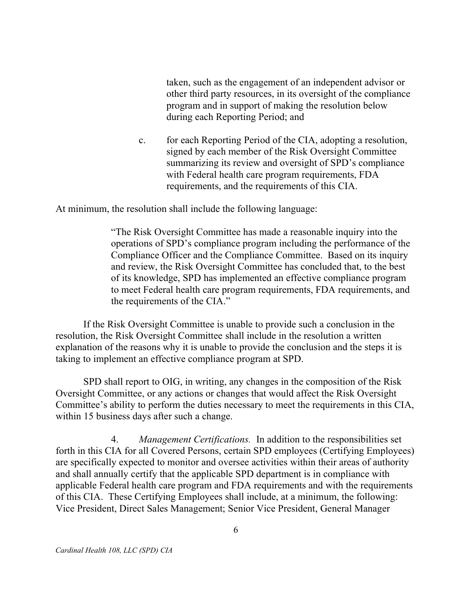taken, such as the engagement of an independent advisor or other third party resources, in its oversight of the compliance program and in support of making the resolution below during each Reporting Period; and

 $\mathbf{c}$ . signed by each member of the Risk Oversight Committee summarizing its review and oversight of SPD's compliance with Federal health care program requirements, FDA requirements, and the requirements of this CIA. for each Reporting Period of the CIA, adopting a resolution,

At minimum, the resolution shall include the following language:

 "The Risk Oversight Committee has made a reasonable inquiry into the operations of SPD's compliance program including the performance of the Compliance Officer and the Compliance Committee. Based on its inquiry and review, the Risk Oversight Committee has concluded that, to the best of its knowledge, SPD has implemented an effective compliance program to meet Federal health care program requirements, FDA requirements, and the requirements of the CIA."

 If the Risk Oversight Committee is unable to provide such a conclusion in the resolution, the Risk Oversight Committee shall include in the resolution a written explanation of the reasons why it is unable to provide the conclusion and the steps it is taking to implement an effective compliance program at SPD.

 SPD shall report to OIG, in writing, any changes in the composition of the Risk Oversight Committee, or any actions or changes that would affect the Risk Oversight Committee's ability to perform the duties necessary to meet the requirements in this CIA, within 15 business days after such a change.

4. Management Certifications. In addition to the responsibilities set forth in this CIA for all Covered Persons, certain SPD employees (Certifying Employees) are specifically expected to monitor and oversee activities within their areas of authority and shall annually certify that the applicable SPD department is in compliance with applicable Federal health care program and FDA requirements and with the requirements of this CIA. These Certifying Employees shall include, at a minimum, the following: Vice President, Direct Sales Management; Senior Vice President, General Manager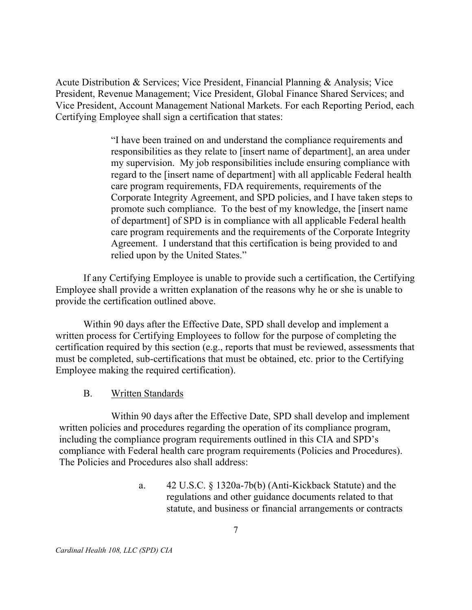Acute Distribution & Services; Vice President, Financial Planning & Analysis; Vice President, Revenue Management; Vice President, Global Finance Shared Services; and Vice President, Account Management National Markets. For each Reporting Period, each Certifying Employee shall sign a certification that states:

> "I have been trained on and understand the compliance requirements and responsibilities as they relate to [insert name of department], an area under my supervision. My job responsibilities include ensuring compliance with regard to the [insert name of department] with all applicable Federal health care program requirements, FDA requirements, requirements of the Corporate Integrity Agreement, and SPD policies, and I have taken steps to promote such compliance. To the best of my knowledge, the [insert name of department] of SPD is in compliance with all applicable Federal health care program requirements and the requirements of the Corporate Integrity Agreement. I understand that this certification is being provided to and relied upon by the United States."

 If any Certifying Employee is unable to provide such a certification, the Certifying Employee shall provide a written explanation of the reasons why he or she is unable to provide the certification outlined above.

 Within 90 days after the Effective Date, SPD shall develop and implement a written process for Certifying Employees to follow for the purpose of completing the certification required by this section (e.g., reports that must be reviewed, assessments that must be completed, sub-certifications that must be obtained, etc. prior to the Certifying Employee making the required certification).

 $\mathbf{B}$ . Written Standards

 Within 90 days after the Effective Date, SPD shall develop and implement written policies and procedures regarding the operation of its compliance program, including the compliance program requirements outlined in this CIA and SPD's compliance with Federal health care program requirements (Policies and Procedures). The Policies and Procedures also shall address:

> $a_{\cdot}$  regulations and other guidance documents related to that statute, and business or financial arrangements or contracts a. 42 U.S.C. § 1320a-7b(b) (Anti-Kickback Statute) and the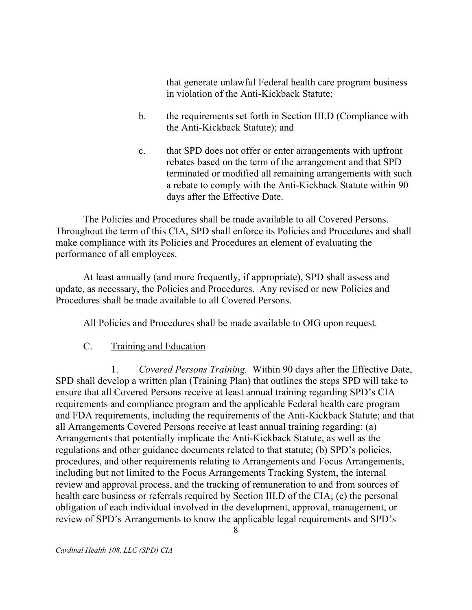that generate unlawful Federal health care program business in violation of the Anti-Kickback Statute;

- $h_{-}$  the Anti-Kickback Statute); and b. the requirements set forth in Section III.D (Compliance with
- $\mathbf{c}$ . rebates based on the term of the arrangement and that SPD terminated or modified all remaining arrangements with such a rebate to comply with the Anti-Kickback Statute within 90 days after the Effective Date. that SPD does not offer or enter arrangements with upfront

 The Policies and Procedures shall be made available to all Covered Persons. Throughout the term of this CIA, SPD shall enforce its Policies and Procedures and shall make compliance with its Policies and Procedures an element of evaluating the performance of all employees.

 At least annually (and more frequently, if appropriate), SPD shall assess and update, as necessary, the Policies and Procedures. Any revised or new Policies and Procedures shall be made available to all Covered Persons.

All Policies and Procedures shall be made available to OIG upon request.

#### $C_{\cdot}$ Training and Education

1. SPD shall develop a written plan (Training Plan) that outlines the steps SPD will take to ensure that all Covered Persons receive at least annual training regarding SPD's CIA requirements and compliance program and the applicable Federal health care program and FDA requirements, including the requirements of the Anti-Kickback Statute; and that all Arrangements Covered Persons receive at least annual training regarding: (a) Arrangements that potentially implicate the Anti-Kickback Statute, as well as the regulations and other guidance documents related to that statute; (b) SPD's policies, procedures, and other requirements relating to Arrangements and Focus Arrangements, including but not limited to the Focus Arrangements Tracking System, the internal review and approval process, and the tracking of remuneration to and from sources of health care business or referrals required by Section III.D of the CIA; (c) the personal obligation of each individual involved in the development, approval, management, or review of SPD's Arrangements to know the applicable legal requirements and SPD's Covered Persons Training. Within 90 days after the Effective Date,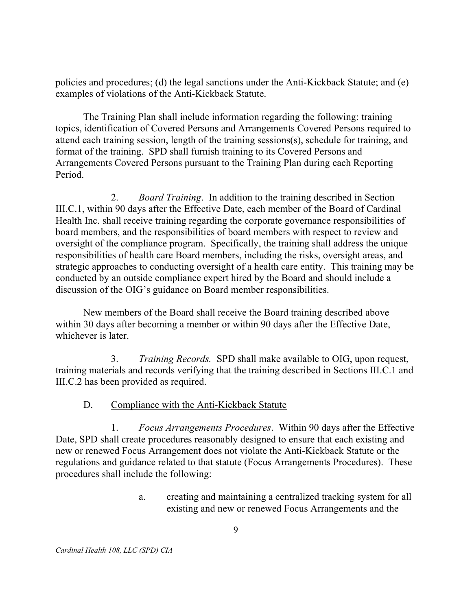policies and procedures; (d) the legal sanctions under the Anti-Kickback Statute; and (e) examples of violations of the Anti-Kickback Statute.

 The Training Plan shall include information regarding the following: training topics, identification of Covered Persons and Arrangements Covered Persons required to attend each training session, length of the training sessions(s), schedule for training, and format of the training. SPD shall furnish training to its Covered Persons and Arrangements Covered Persons pursuant to the Training Plan during each Reporting Period.

2. Board Training. In addition to the training described in Section III.C.1, within 90 days after the Effective Date, each member of the Board of Cardinal Health Inc. shall receive training regarding the corporate governance responsibilities of board members, and the responsibilities of board members with respect to review and oversight of the compliance program. Specifically, the training shall address the unique responsibilities of health care Board members, including the risks, oversight areas, and strategic approaches to conducting oversight of a health care entity. This training may be conducted by an outside compliance expert hired by the Board and should include a discussion of the OIG's guidance on Board member responsibilities.

 New members of the Board shall receive the Board training described above within 30 days after becoming a member or within 90 days after the Effective Date, whichever is later.

3. training materials and records verifying that the training described in Sections III.C.1 and III.C.2 has been provided as required. Training Records. SPD shall make available to OIG, upon request,

#### $D_{\cdot}$ Compliance with the Anti-Kickback Statute

 $1<sub>1</sub>$  Date, SPD shall create procedures reasonably designed to ensure that each existing and new or renewed Focus Arrangement does not violate the Anti-Kickback Statute or the regulations and guidance related to that statute (Focus Arrangements Procedures). These procedures shall include the following: Focus Arrangements Procedures. Within 90 days after the Effective

> a. existing and new or renewed Focus Arrangements and the creating and maintaining a centralized tracking system for all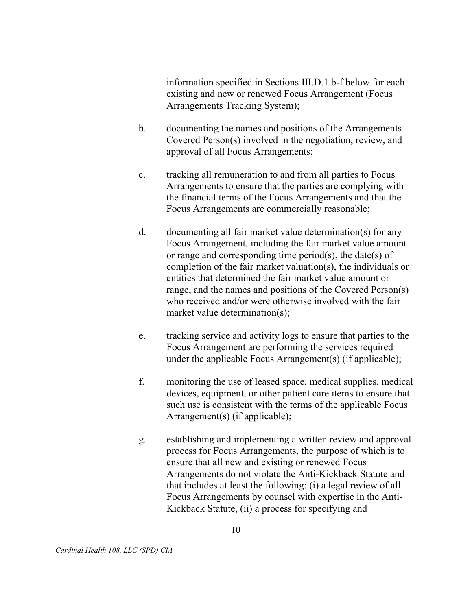information specified in Sections III.D.1.b-f below for each existing and new or renewed Focus Arrangement (Focus Arrangements Tracking System);

- documenting the names and positions of the Arrangements Covered Person(s) involved in the negotiation, review, and approval of all Focus Arrangements; b.
- c. Arrangements to ensure that the parties are complying with the financial terms of the Focus Arrangements and that the Focus Arrangements are commercially reasonable; tracking all remuneration to and from all parties to Focus
- documenting all fair market value determination(s) for any Focus Arrangement, including the fair market value amount or range and corresponding time period(s), the date(s) of completion of the fair market valuation(s), the individuals or entities that determined the fair market value amount or range, and the names and positions of the Covered Person(s) who received and/or were otherwise involved with the fair market value determination(s); d.
- e. Focus Arrangement are performing the services required under the applicable Focus Arrangement(s) (if applicable); tracking service and activity logs to ensure that parties to the
- f. devices, equipment, or other patient care items to ensure that such use is consistent with the terms of the applicable Focus Arrangement(s) (if applicable); monitoring the use of leased space, medical supplies, medical
- g. process for Focus Arrangements, the purpose of which is to ensure that all new and existing or renewed Focus Arrangements do not violate the Anti-Kickback Statute and that includes at least the following: (i) a legal review of all Focus Arrangements by counsel with expertise in the Anti- Kickback Statute, (ii) a process for specifying and establishing and implementing a written review and approval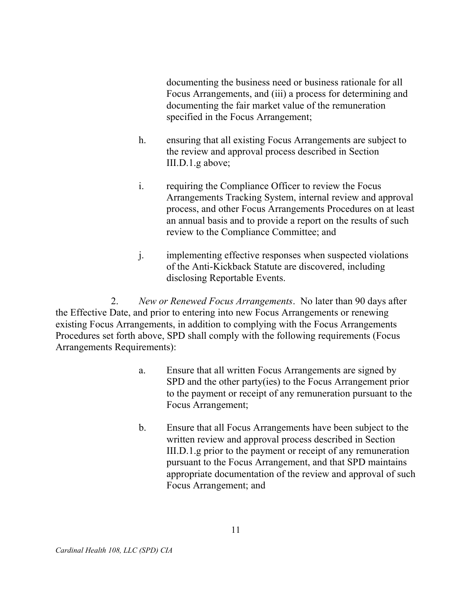documenting the business need or business rationale for all Focus Arrangements, and (iii) a process for determining and documenting the fair market value of the remuneration specified in the Focus Arrangement;

- h. ensuring that all existing Focus Arrangements are subject to the review and approval process described in Section III.D.1.g above;
- i. Arrangements Tracking System, internal review and approval process, and other Focus Arrangements Procedures on at least an annual basis and to provide a report on the results of such review to the Compliance Committee; and requiring the Compliance Officer to review the Focus
- $\mathbf{i}$ . of the Anti-Kickback Statute are discovered, including disclosing Reportable Events. implementing effective responses when suspected violations

 $2.$  the Effective Date, and prior to entering into new Focus Arrangements or renewing existing Focus Arrangements, in addition to complying with the Focus Arrangements Procedures set forth above, SPD shall comply with the following requirements (Focus Arrangements Requirements): New or Renewed Focus Arrangements. No later than 90 days after

- $a<sub>z</sub>$  SPD and the other party(ies) to the Focus Arrangement prior to the payment or receipt of any remuneration pursuant to the Focus Arrangement; Ensure that all written Focus Arrangements are signed by
- $\mathbf{b}$ . written review and approval process described in Section III.D.1.g prior to the payment or receipt of any remuneration pursuant to the Focus Arrangement, and that SPD maintains appropriate documentation of the review and approval of such Focus Arrangement; and b. Ensure that all Focus Arrangements have been subject to the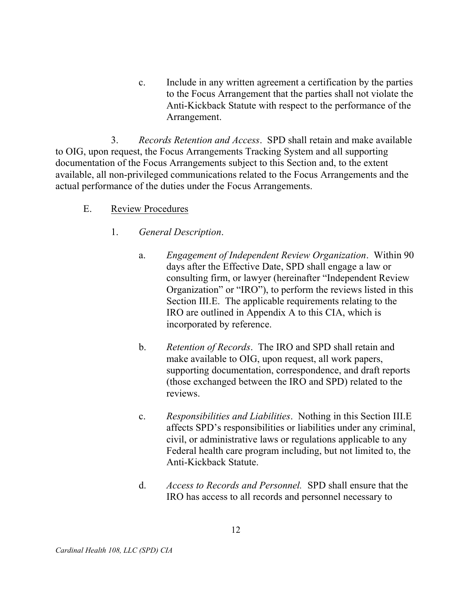$c_{\cdot}$  to the Focus Arrangement that the parties shall not violate the Anti-Kickback Statute with respect to the performance of the Include in any written agreement a certification by the parties Arrangement.

3. Records Retention and Access. SPD shall retain and make available to OIG, upon request, the Focus Arrangements Tracking System and all supporting documentation of the Focus Arrangements subject to this Section and, to the extent available, all non-privileged communications related to the Focus Arrangements and the actual performance of the duties under the Focus Arrangements.

### E. Review Procedures

- $1_{-}$ General Description.
	- a. days after the Effective Date, SPD shall engage a law or consulting firm, or lawyer (hereinafter "Independent Review Organization" or "IRO"), to perform the reviews listed in this Section III.E. The applicable requirements relating to the IRO are outlined in Appendix A to this CIA, which is incorporated by reference. Engagement of Independent Review Organization. Within 90
	- $\mathbf{b}$ . make available to OIG, upon request, all work papers, supporting documentation, correspondence, and draft reports (those exchanged between the IRO and SPD) related to the reviews. Retention of Records. The IRO and SPD shall retain and
	- $\mathbf{c}$ . affects SPD's responsibilities or liabilities under any criminal, civil, or administrative laws or regulations applicable to any Federal health care program including, but not limited to, the Anti-Kickback Statute. Responsibilities and Liabilities. Nothing in this Section III.E
	- d. Access to Records and Personnel. SPD shall ensure that the IRO has access to all records and personnel necessary to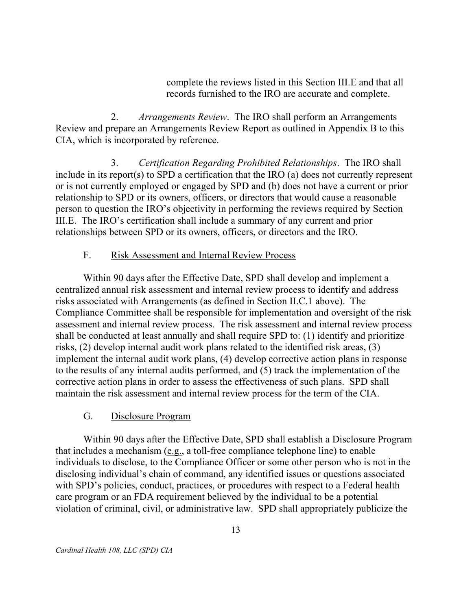complete the reviews listed in this Section III.E and that all records furnished to the IRO are accurate and complete.

 $2.$  Review and prepare an Arrangements Review Report as outlined in Appendix B to this CIA, which is incorporated by reference. Arrangements Review. The IRO shall perform an Arrangements

3. include in its report(s) to SPD a certification that the IRO (a) does not currently represent or is not currently employed or engaged by SPD and (b) does not have a current or prior relationship to SPD or its owners, officers, or directors that would cause a reasonable person to question the IRO's objectivity in performing the reviews required by Section III.E. The IRO's certification shall include a summary of any current and prior relationships between SPD or its owners, officers, or directors and the IRO. 3. Certification Regarding Prohibited Relationships. The IRO shall

#### F. Risk Assessment and Internal Review Process

 Within 90 days after the Effective Date, SPD shall develop and implement a centralized annual risk assessment and internal review process to identify and address risks associated with Arrangements (as defined in Section II.C.1 above). The Compliance Committee shall be responsible for implementation and oversight of the risk assessment and internal review process. The risk assessment and internal review process shall be conducted at least annually and shall require SPD to: (1) identify and prioritize risks, (2) develop internal audit work plans related to the identified risk areas, (3) implement the internal audit work plans, (4) develop corrective action plans in response to the results of any internal audits performed, and (5) track the implementation of the corrective action plans in order to assess the effectiveness of such plans. SPD shall maintain the risk assessment and internal review process for the term of the CIA.

#### $G<sub>r</sub>$ Disclosure Program

 Within 90 days after the Effective Date, SPD shall establish a Disclosure Program that includes a mechanism (e.g., a toll-free compliance telephone line) to enable individuals to disclose, to the Compliance Officer or some other person who is not in the disclosing individual's chain of command, any identified issues or questions associated with SPD's policies, conduct, practices, or procedures with respect to a Federal health care program or an FDA requirement believed by the individual to be a potential violation of criminal, civil, or administrative law. SPD shall appropriately publicize the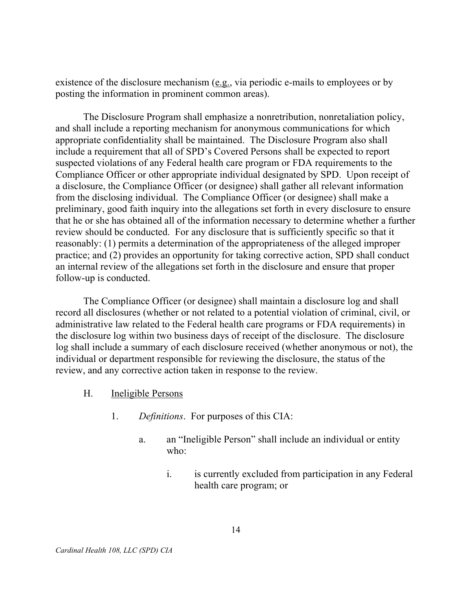existence of the disclosure mechanism (e.g., via periodic e-mails to employees or by posting the information in prominent common areas).

 The Disclosure Program shall emphasize a nonretribution, nonretaliation policy, and shall include a reporting mechanism for anonymous communications for which appropriate confidentiality shall be maintained. The Disclosure Program also shall include a requirement that all of SPD's Covered Persons shall be expected to report suspected violations of any Federal health care program or FDA requirements to the Compliance Officer or other appropriate individual designated by SPD. Upon receipt of a disclosure, the Compliance Officer (or designee) shall gather all relevant information from the disclosing individual. The Compliance Officer (or designee) shall make a preliminary, good faith inquiry into the allegations set forth in every disclosure to ensure that he or she has obtained all of the information necessary to determine whether a further review should be conducted. For any disclosure that is sufficiently specific so that it reasonably: (1) permits a determination of the appropriateness of the alleged improper practice; and (2) provides an opportunity for taking corrective action, SPD shall conduct an internal review of the allegations set forth in the disclosure and ensure that proper follow-up is conducted.

 The Compliance Officer (or designee) shall maintain a disclosure log and shall record all disclosures (whether or not related to a potential violation of criminal, civil, or administrative law related to the Federal health care programs or FDA requirements) in the disclosure log within two business days of receipt of the disclosure. The disclosure log shall include a summary of each disclosure received (whether anonymous or not), the individual or department responsible for reviewing the disclosure, the status of the review, and any corrective action taken in response to the review.

- $H_{\cdot}$ Ineligible Persons
	- $1.$ Definitions. For purposes of this CIA:
		- a. who: an "Ineligible Person" shall include an individual or entity
			- $\mathbf{i}$ . health care program; or is currently excluded from participation in any Federal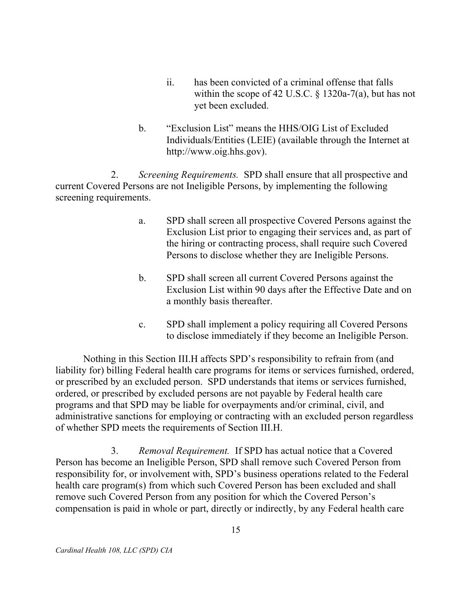- $ii.$  within the scope of 42 U.S.C. § 1320a-7(a), but has not yet been excluded. has been convicted of a criminal offense that falls
- $\mathbf{b}$ . Individuals/Entities (LEIE) (available through the Internet at http://www.oig.hhs.gov). b. "Exclusion List" means the HHS/OIG List of Excluded

2. current Covered Persons are not Ineligible Persons, by implementing the following screening requirements. Screening Requirements. SPD shall ensure that all prospective and

- a. Exclusion List prior to engaging their services and, as part of the hiring or contracting process, shall require such Covered Persons to disclose whether they are Ineligible Persons. SPD shall screen all prospective Covered Persons against the
- $\mathbf{b}$ . Exclusion List within 90 days after the Effective Date and on a monthly basis thereafter. SPD shall screen all current Covered Persons against the
- $\mathbf{c}$ . to disclose immediately if they become an Ineligible Person. SPD shall implement a policy requiring all Covered Persons

 Nothing in this Section III.H affects SPD's responsibility to refrain from (and liability for) billing Federal health care programs for items or services furnished, ordered, or prescribed by an excluded person. SPD understands that items or services furnished, ordered, or prescribed by excluded persons are not payable by Federal health care programs and that SPD may be liable for overpayments and/or criminal, civil, and administrative sanctions for employing or contracting with an excluded person regardless of whether SPD meets the requirements of Section III.H.

3. Person has become an Ineligible Person, SPD shall remove such Covered Person from responsibility for, or involvement with, SPD's business operations related to the Federal health care program(s) from which such Covered Person has been excluded and shall remove such Covered Person from any position for which the Covered Person's compensation is paid in whole or part, directly or indirectly, by any Federal health care Removal Requirement. If SPD has actual notice that a Covered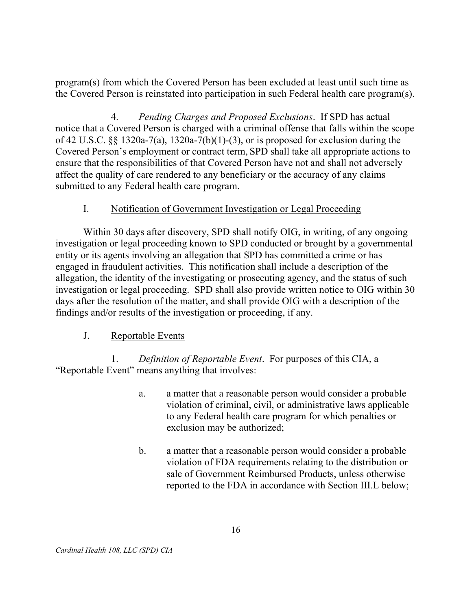program(s) from which the Covered Person has been excluded at least until such time as the Covered Person is reinstated into participation in such Federal health care program(s).

 $\mathbf{4}$ . notice that a Covered Person is charged with a criminal offense that falls within the scope of 42 U.S.C. §§ 1320a-7(a), 1320a-7(b)(1)-(3), or is proposed for exclusion during the Covered Person's employment or contract term, SPD shall take all appropriate actions to ensure that the responsibilities of that Covered Person have not and shall not adversely affect the quality of care rendered to any beneficiary or the accuracy of any claims submitted to any Federal health care program. Pending Charges and Proposed Exclusions. If SPD has actual

#### $\mathbf{L}$ Notification of Government Investigation or Legal Proceeding

 Within 30 days after discovery, SPD shall notify OIG, in writing, of any ongoing investigation or legal proceeding known to SPD conducted or brought by a governmental entity or its agents involving an allegation that SPD has committed a crime or has engaged in fraudulent activities. This notification shall include a description of the allegation, the identity of the investigating or prosecuting agency, and the status of such investigation or legal proceeding. SPD shall also provide written notice to OIG within 30 days after the resolution of the matter, and shall provide OIG with a description of the findings and/or results of the investigation or proceeding, if any.

#### $J<sub>r</sub>$ Reportable Events

1. "Reportable Event" means anything that involves: Definition of Reportable Event. For purposes of this CIA, a

- a. violation of criminal, civil, or administrative laws applicable to any Federal health care program for which penalties or exclusion may be authorized; a matter that a reasonable person would consider a probable
- $\mathbf{b}$ . violation of FDA requirements relating to the distribution or sale of Government Reimbursed Products, unless otherwise reported to the FDA in accordance with Section III.L below; a matter that a reasonable person would consider a probable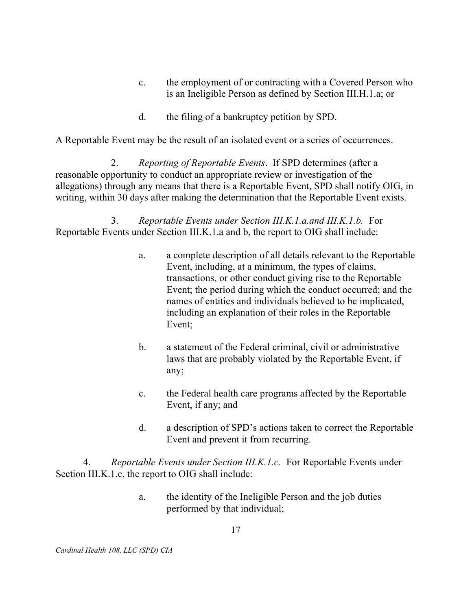- $\mathbf{c}$ . is an Ineligible Person as defined by Section III.H.1.a; or the employment of or contracting with a Covered Person who
- $\mathbf{d}$ . the filing of a bankruptcy petition by SPD.

A Reportable Event may be the result of an isolated event or a series of occurrences.

2. reasonable opportunity to conduct an appropriate review or investigation of the allegations) through any means that there is a Reportable Event, SPD shall notify OIG, in writing, within 30 days after making the determination that the Reportable Event exists. Reporting of Reportable Events. If SPD determines (after a

 $\overline{3}$ . Reportable Events under Section III.K.1.a and b, the report to OIG shall include: 3. Reportable Events under Section III.K.1.a.and III.K.1.b. For

- a. Event, including, at a minimum, the types of claims, transactions, or other conduct giving rise to the Reportable Event; the period during which the conduct occurred; and the names of entities and individuals believed to be implicated, including an explanation of their roles in the Reportable a. a complete description of all details relevant to the Reportable Event;
- $\mathbf{b}$ . laws that are probably violated by the Reportable Event, if a statement of the Federal criminal, civil or administrative any;
- $\mathbf{c}$ . Event, if any; and the Federal health care programs affected by the Reportable
- $d.$  Event and prevent it from recurring. a description of SPD's actions taken to correct the Reportable

4. Section III.K.1.c, the report to OIG shall include: 4. Reportable Events under Section III.K.1.c. For Reportable Events under

> a. performed by that individual; the identity of the Ineligible Person and the job duties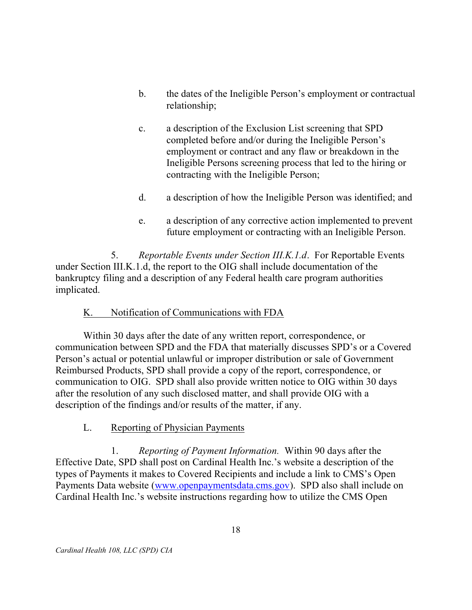- $\mathbf{b}$ . b. the dates of the Ineligible Person's employment or contractual relationship;
- $\mathbf{c}$ . completed before and/or during the Ineligible Person's employment or contract and any flaw or breakdown in the Ineligible Persons screening process that led to the hiring or contracting with the Ineligible Person; a description of the Exclusion List screening that SPD
- $d_{\cdot}$ a description of how the Ineligible Person was identified; and
- e. future employment or contracting with an Ineligible Person. a description of any corrective action implemented to prevent

5. under Section III.K.1.d, the report to the OIG shall include documentation of the bankruptcy filing and a description of any Federal health care program authorities 5. Reportable Events under Section III.K.1.d. For Reportable Events implicated.

#### K. Notification of Communications with FDA

 Within 30 days after the date of any written report, correspondence, or communication between SPD and the FDA that materially discusses SPD's or a Covered Person's actual or potential unlawful or improper distribution or sale of Government Reimbursed Products, SPD shall provide a copy of the report, correspondence, or communication to OIG. SPD shall also provide written notice to OIG within 30 days after the resolution of any such disclosed matter, and shall provide OIG with a description of the findings and/or results of the matter, if any.

### L. Reporting of Physician Payments

 Effective Date, SPD shall post on Cardinal Health Inc.'s website a description of the types of Payments it makes to Covered Recipients and include a link to CMS's Open Payments Data website (www.openpaymentsdata.cms.gov). SPD also shall include on Cardinal Health Inc.'s website instructions regarding how to utilize the CMS Open 1. Reporting of Payment Information. Within 90 days after the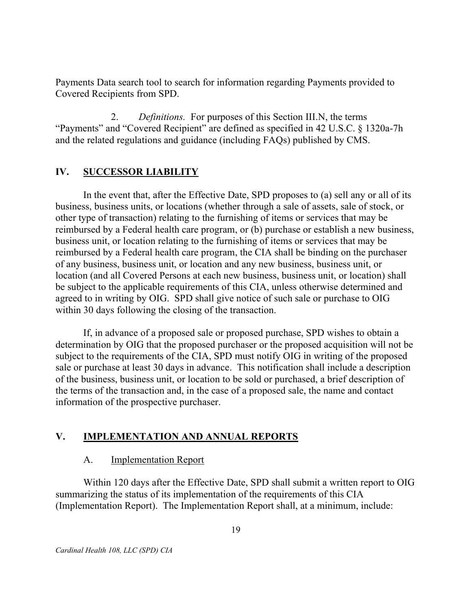Payments Data search tool to search for information regarding Payments provided to Covered Recipients from SPD.

 "Payments" and "Covered Recipient" are defined as specified in 42 U.S.C. § 1320a-7h and the related regulations and guidance (including FAQs) published by CMS. 2. Definitions. For purposes of this Section III.N, the terms

### IV. SUCCESSOR LIABILITY

 In the event that, after the Effective Date, SPD proposes to (a) sell any or all of its business, business units, or locations (whether through a sale of assets, sale of stock, or other type of transaction) relating to the furnishing of items or services that may be reimbursed by a Federal health care program, or (b) purchase or establish a new business, business unit, or location relating to the furnishing of items or services that may be of any business, business unit, or location and any new business, business unit, or location (and all Covered Persons at each new business, business unit, or location) shall be subject to the applicable requirements of this CIA, unless otherwise determined and agreed to in writing by OIG. SPD shall give notice of such sale or purchase to OIG within 30 days following the closing of the transaction. reimbursed by a Federal health care program, the CIA shall be binding on the purchaser

 If, in advance of a proposed sale or proposed purchase, SPD wishes to obtain a determination by OIG that the proposed purchaser or the proposed acquisition will not be subject to the requirements of the CIA, SPD must notify OIG in writing of the proposed sale or purchase at least 30 days in advance. This notification shall include a description of the business, business unit, or location to be sold or purchased, a brief description of the terms of the transaction and, in the case of a proposed sale, the name and contact information of the prospective purchaser.

### V. IMPLEMENTATION AND ANNUAL REPORTS

#### $A_{1}$ **Implementation Report**

 Within 120 days after the Effective Date, SPD shall submit a written report to OIG summarizing the status of its implementation of the requirements of this CIA (Implementation Report). The Implementation Report shall, at a minimum, include: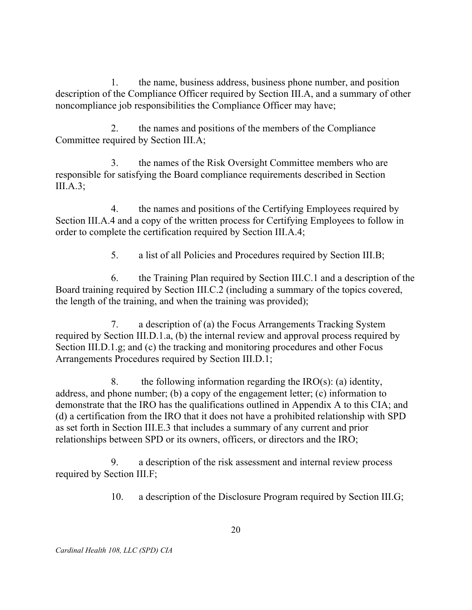$\mathbf{1}$ . description of the Compliance Officer required by Section III.A, and a summary of other noncompliance job responsibilities the Compliance Officer may have; 1. the name, business address, business phone number, and position

2. Committee required by Section III.A; 2. the names and positions of the members of the Compliance

 $\mathcal{E}$  responsible for satisfying the Board compliance requirements described in Section the names of the Risk Oversight Committee members who are III.A.3;

 $\overline{4}$ . Section III.A.4 and a copy of the written process for Certifying Employees to follow in order to complete the certification required by Section III.A.4; the names and positions of the Certifying Employees required by

> 5. 5. a list of all Policies and Procedures required by Section III.B;

6 Board training required by Section III.C.2 (including a summary of the topics covered, the length of the training, and when the training was provided); 6. the Training Plan required by Section III.C.1 and a description of the

 $7_{\cdot}$  required by Section III.D.1.a, (b) the internal review and approval process required by Section III.D.1.g; and (c) the tracking and monitoring procedures and other Focus Arrangements Procedures required by Section III.D.1; a description of (a) the Focus Arrangements Tracking System

8. address, and phone number; (b) a copy of the engagement letter; (c) information to demonstrate that the IRO has the qualifications outlined in Appendix A to this CIA; and (d) a certification from the IRO that it does not have a prohibited relationship with SPD as set forth in Section III.E.3 that includes a summary of any current and prior relationships between SPD or its owners, officers, or directors and the IRO; the following information regarding the  $IRO(s)$ : (a) identity,

9. required by Section III.F; a description of the risk assessment and internal review process

> 10. a description of the Disclosure Program required by Section III.G;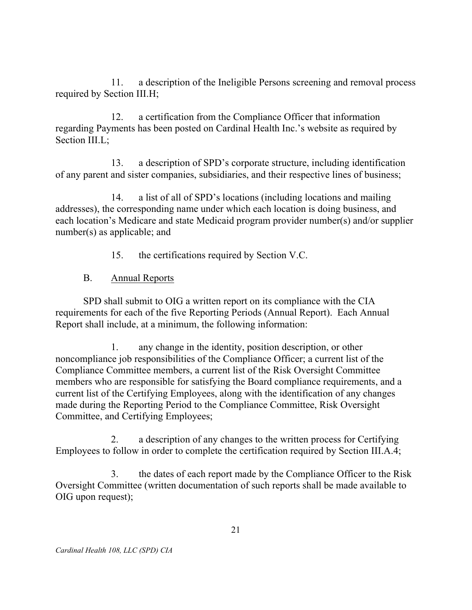$11.$  required by Section III.H; a description of the Ineligible Persons screening and removal process

 $12.$  regarding Payments has been posted on Cardinal Health Inc.'s website as required by Section III.L; a certification from the Compliance Officer that information

13. of any parent and sister companies, subsidiaries, and their respective lines of business; a description of SPD's corporate structure, including identification

14. addresses), the corresponding name under which each location is doing business, and each location's Medicare and state Medicaid program provider number(s) and/or supplier number(s) as applicable; and a list of all of SPD's locations (including locations and mailing

> 15. the certifications required by Section V.C.

 $B<sub>1</sub>$ Annual Reports

 SPD shall submit to OIG a written report on its compliance with the CIA requirements for each of the five Reporting Periods (Annual Report). Each Annual Report shall include, at a minimum, the following information:

1. noncompliance job responsibilities of the Compliance Officer; a current list of the Compliance Committee members, a current list of the Risk Oversight Committee members who are responsible for satisfying the Board compliance requirements, and a current list of the Certifying Employees, along with the identification of any changes made during the Reporting Period to the Compliance Committee, Risk Oversight Committee, and Certifying Employees; any change in the identity, position description, or other

 $\overline{2}$ . Employees to follow in order to complete the certification required by Section III.A.4; a description of any changes to the written process for Certifying

 $\mathbf{3}$ . Oversight Committee (written documentation of such reports shall be made available to OIG upon request); 3. the dates of each report made by the Compliance Officer to the Risk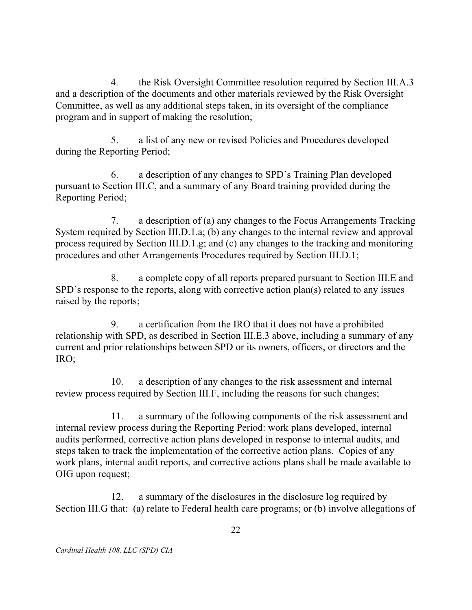$\overline{4}$  and a description of the documents and other materials reviewed by the Risk Oversight Committee, as well as any additional steps taken, in its oversight of the compliance program and in support of making the resolution; 4. the Risk Oversight Committee resolution required by Section III.A.3

5. during the Reporting Period; 5. a list of any new or revised Policies and Procedures developed

6. pursuant to Section III.C, and a summary of any Board training provided during the Reporting Period; a description of any changes to SPD's Training Plan developed

7. System required by Section III.D.1.a; (b) any changes to the internal review and approval process required by Section III.D.1.g; and (c) any changes to the tracking and monitoring procedures and other Arrangements Procedures required by Section III.D.1; a description of (a) any changes to the Focus Arrangements Tracking

8. SPD's response to the reports, along with corrective action plan(s) related to any issues raised by the reports; 8. a complete copy of all reports prepared pursuant to Section III.E and

9. relationship with SPD, as described in Section III.E.3 above, including a summary of any current and prior relationships between SPD or its owners, officers, or directors and the a certification from the IRO that it does not have a prohibited IRO;

 $10.$  review process required by Section III.F, including the reasons for such changes; a description of any changes to the risk assessment and internal

 $11.$  internal review process during the Reporting Period: work plans developed, internal audits performed, corrective action plans developed in response to internal audits, and steps taken to track the implementation of the corrective action plans. Copies of any work plans, internal audit reports, and corrective actions plans shall be made available to OIG upon request; a summary of the following components of the risk assessment and

 $12.$  Section III.G that: (a) relate to Federal health care programs; or (b) involve allegations of a summary of the disclosures in the disclosure log required by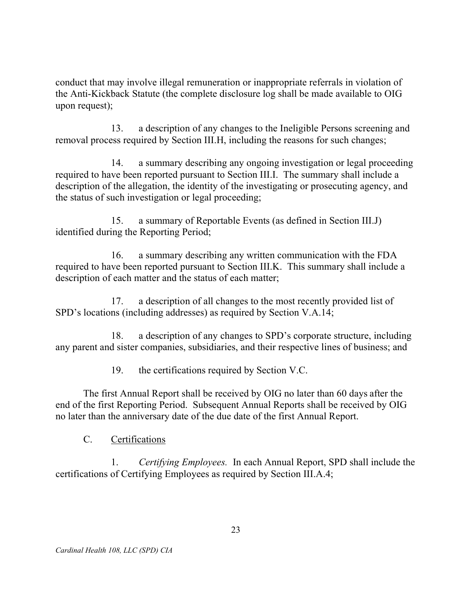conduct that may involve illegal remuneration or inappropriate referrals in violation of the Anti-Kickback Statute (the complete disclosure log shall be made available to OIG upon request);

 $13.$  removal process required by Section III.H, including the reasons for such changes; a description of any changes to the Ineligible Persons screening and

14. required to have been reported pursuant to Section III.I. The summary shall include a description of the allegation, the identity of the investigating or prosecuting agency, and the status of such investigation or legal proceeding; a summary describing any ongoing investigation or legal proceeding

 $15<sub>1</sub>$  identified during the Reporting Period; a summary of Reportable Events (as defined in Section III.J)

16. required to have been reported pursuant to Section III.K. This summary shall include a description of each matter and the status of each matter; a summary describing any written communication with the FDA

17. SPD's locations (including addresses) as required by Section V.A.14; a description of all changes to the most recently provided list of

18. any parent and sister companies, subsidiaries, and their respective lines of business; and a description of any changes to SPD's corporate structure, including

> $19<sub>1</sub>$ the certifications required by Section V.C.

 The first Annual Report shall be received by OIG no later than 60 days after the end of the first Reporting Period. Subsequent Annual Reports shall be received by OIG no later than the anniversary date of the due date of the first Annual Report.

C. Certifications

1. Certifying Employees. In each Annual Report, SPD shall include the certifications of Certifying Employees as required by Section III.A.4;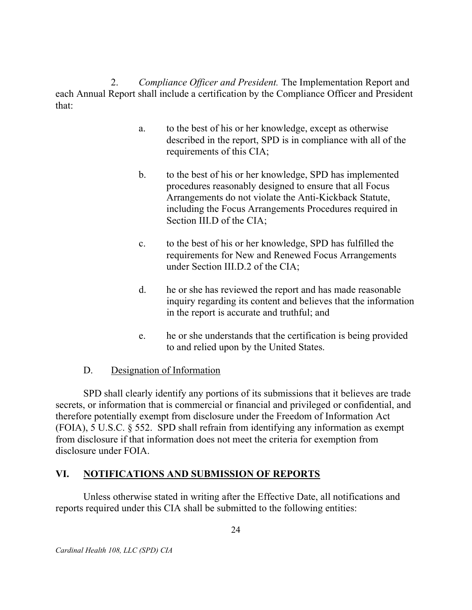2. Compliance Officer and President. The Implementation Report and each Annual Report shall include a certification by the Compliance Officer and President that:

- $a<sub>1</sub>$  described in the report, SPD is in compliance with all of the requirements of this CIA; to the best of his or her knowledge, except as otherwise
- $\mathbf{b}$ . procedures reasonably designed to ensure that all Focus Arrangements do not violate the Anti-Kickback Statute, including the Focus Arrangements Procedures required in Section III.D of the CIA; b. to the best of his or her knowledge, SPD has implemented
- $\mathbf{c}$ . requirements for New and Renewed Focus Arrangements under Section III.D.2 of the CIA; to the best of his or her knowledge, SPD has fulfilled the
- $d_{\cdot}$  inquiry regarding its content and believes that the information in the report is accurate and truthful; and he or she has reviewed the report and has made reasonable
- $e<sub>1</sub>$  to and relied upon by the United States. he or she understands that the certification is being provided

#### $D_{\cdot}$ Designation of Information

 SPD shall clearly identify any portions of its submissions that it believes are trade secrets, or information that is commercial or financial and privileged or confidential, and therefore potentially exempt from disclosure under the Freedom of Information Act (FOIA), 5 U.S.C. § 552. SPD shall refrain from identifying any information as exempt from disclosure if that information does not meet the criteria for exemption from disclosure under FOIA.

### VI. NOTIFICATIONS AND SUBMISSION OF REPORTS

 Unless otherwise stated in writing after the Effective Date, all notifications and reports required under this CIA shall be submitted to the following entities: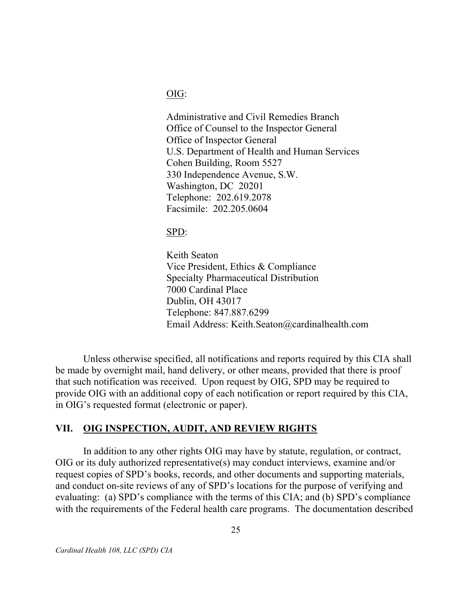OIG:

 Administrative and Civil Remedies Branch Office of Counsel to the Inspector General Office of Inspector General U.S. Department of Health and Human Services Cohen Building, Room 5527 330 Independence Avenue, S.W. Washington, DC 20201 Telephone: 202.619.2078 Facsimile: 202.205.0604

SPD:

 Keith Seaton Vice President, Ethics & Compliance Specialty Pharmaceutical Distribution 7000 Cardinal Place Dublin, OH 43017 Telephone: 847.887.6299 Email Address: Keith.Seaton@cardinalhealth.com

 Unless otherwise specified, all notifications and reports required by this CIA shall be made by overnight mail, hand delivery, or other means, provided that there is proof that such notification was received. Upon request by OIG, SPD may be required to provide OIG with an additional copy of each notification or report required by this CIA, in OIG's requested format (electronic or paper).

#### VII. OIG INSPECTION, AUDIT, AND REVIEW RIGHTS

 In addition to any other rights OIG may have by statute, regulation, or contract, OIG or its duly authorized representative(s) may conduct interviews, examine and/or request copies of SPD's books, records, and other documents and supporting materials, and conduct on-site reviews of any of SPD's locations for the purpose of verifying and evaluating: (a) SPD's compliance with the terms of this CIA; and (b) SPD's compliance with the requirements of the Federal health care programs. The documentation described

Cardinal Health 108, LLC (SPD) CIA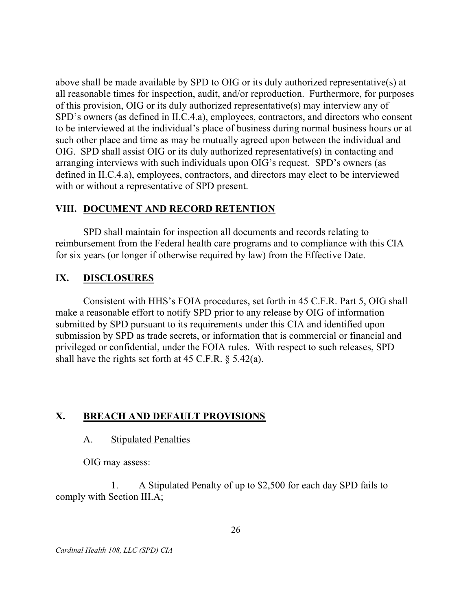above shall be made available by SPD to OIG or its duly authorized representative(s) at all reasonable times for inspection, audit, and/or reproduction. Furthermore, for purposes of this provision, OIG or its duly authorized representative(s) may interview any of SPD's owners (as defined in II.C.4.a), employees, contractors, and directors who consent to be interviewed at the individual's place of business during normal business hours or at such other place and time as may be mutually agreed upon between the individual and OIG. SPD shall assist OIG or its duly authorized representative(s) in contacting and arranging interviews with such individuals upon OIG's request. SPD's owners (as defined in II.C.4.a), employees, contractors, and directors may elect to be interviewed with or without a representative of SPD present.

### VIII. DOCUMENT AND RECORD RETENTION

 SPD shall maintain for inspection all documents and records relating to reimbursement from the Federal health care programs and to compliance with this CIA for six years (or longer if otherwise required by law) from the Effective Date.

#### IX. **DISCLOSURES**

 Consistent with HHS's FOIA procedures, set forth in 45 C.F.R. Part 5, OIG shall make a reasonable effort to notify SPD prior to any release by OIG of information submitted by SPD pursuant to its requirements under this CIA and identified upon submission by SPD as trade secrets, or information that is commercial or financial and privileged or confidential, under the FOIA rules. With respect to such releases, SPD shall have the rights set forth at 45 C.F.R. § 5.42(a).

### X. BREACH AND DEFAULT PROVISIONS

#### $A_{\cdot}$ **Stipulated Penalties**

OIG may assess:

1. comply with Section III.A; 1. A Stipulated Penalty of up to \$2,500 for each day SPD fails to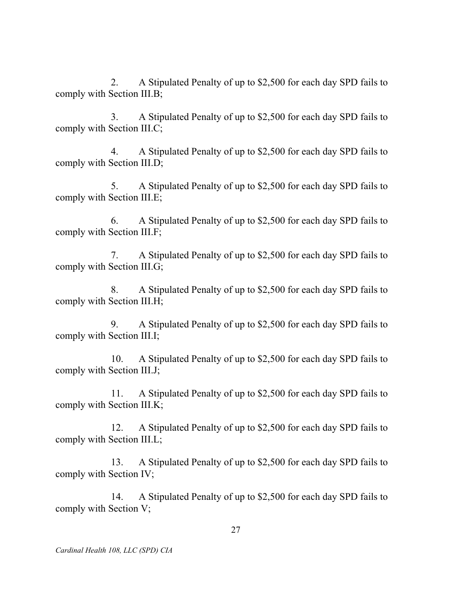$2.$  comply with Section III.B; 2. A Stipulated Penalty of up to \$2,500 for each day SPD fails to

3. comply with Section III.C; 3. A Stipulated Penalty of up to \$2,500 for each day SPD fails to

 $\overline{4}$ . comply with Section III.D; 4. A Stipulated Penalty of up to \$2,500 for each day SPD fails to

5. comply with Section III.E; 5. A Stipulated Penalty of up to \$2,500 for each day SPD fails to

 $6<sub>l</sub>$  comply with Section III.F; 6. A Stipulated Penalty of up to \$2,500 for each day SPD fails to

7. comply with Section III.G; 7. A Stipulated Penalty of up to \$2,500 for each day SPD fails to

8. comply with Section III.H; 8. A Stipulated Penalty of up to \$2,500 for each day SPD fails to

9 comply with Section III.I; 9. A Stipulated Penalty of up to \$2,500 for each day SPD fails to

 $10.$  comply with Section III.J; A Stipulated Penalty of up to \$2,500 for each day SPD fails to

 $11<sub>1</sub>$  comply with Section III.K; A Stipulated Penalty of up to \$2,500 for each day SPD fails to

12. comply with Section III.L; A Stipulated Penalty of up to \$2,500 for each day SPD fails to

13. comply with Section IV; 13. A Stipulated Penalty of up to \$2,500 for each day SPD fails to

14. comply with Section V; 14. A Stipulated Penalty of up to \$2,500 for each day SPD fails to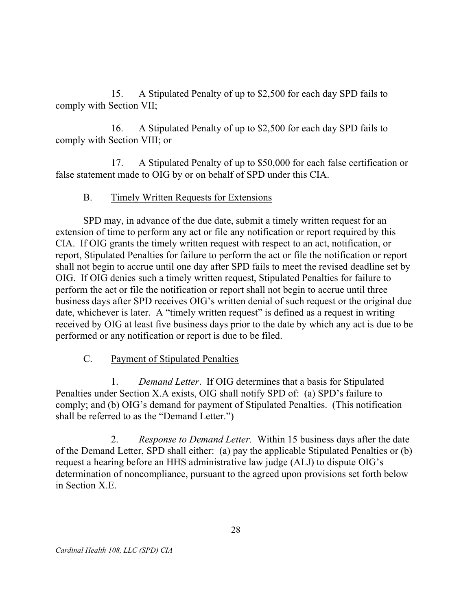15. comply with Section VII; A Stipulated Penalty of up to \$2,500 for each day SPD fails to

 $16.$  comply with Section VIII; or A Stipulated Penalty of up to \$2,500 for each day SPD fails to

17. false statement made to OIG by or on behalf of SPD under this CIA. A Stipulated Penalty of up to \$50,000 for each false certification or

#### B. Timely Written Requests for Extensions

 SPD may, in advance of the due date, submit a timely written request for an extension of time to perform any act or file any notification or report required by this CIA. If OIG grants the timely written request with respect to an act, notification, or report, Stipulated Penalties for failure to perform the act or file the notification or report shall not begin to accrue until one day after SPD fails to meet the revised deadline set by OIG. If OIG denies such a timely written request, Stipulated Penalties for failure to perform the act or file the notification or report shall not begin to accrue until three business days after SPD receives OIG's written denial of such request or the original due date, whichever is later. A "timely written request" is defined as a request in writing received by OIG at least five business days prior to the date by which any act is due to be performed or any notification or report is due to be filed.

### $C_{\cdot}$ Payment of Stipulated Penalties

 Penalties under Section X.A exists, OIG shall notify SPD of: (a) SPD's failure to comply; and (b) OIG's demand for payment of Stipulated Penalties. (This notification shall be referred to as the "Demand Letter.") 1. Demand Letter. If OIG determines that a basis for Stipulated

 $2.$  of the Demand Letter, SPD shall either: (a) pay the applicable Stipulated Penalties or (b) request a hearing before an HHS administrative law judge (ALJ) to dispute OIG's determination of noncompliance, pursuant to the agreed upon provisions set forth below in Section X.E. *Response to Demand Letter.* Within 15 business days after the date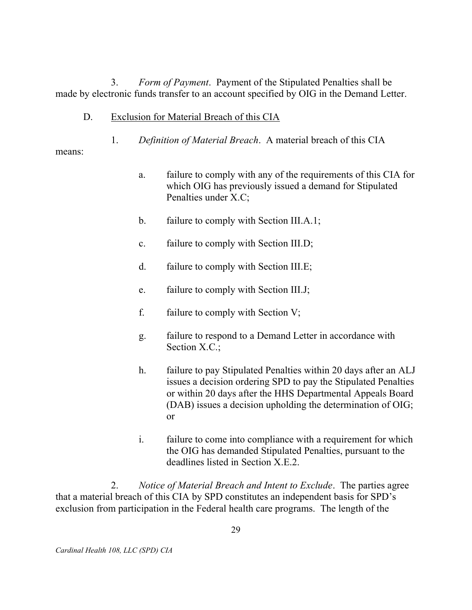3. made by electronic funds transfer to an account specified by OIG in the Demand Letter. Form of Payment. Payment of the Stipulated Penalties shall be

- D. Exclusion for Material Breach of this CIA
	- 1. Definition of Material Breach. A material breach of this CIA

means:

- a. which OIG has previously issued a demand for Stipulated Penalties under X.C; failure to comply with any of the requirements of this CIA for
- $\mathbf{b}$ . failure to comply with Section III.A.1;
- $\mathbf{c}$ . failure to comply with Section III.D;
- $d_{\cdot}$ failure to comply with Section III.E;
- e. failure to comply with Section III.J;
- $f_{\cdot}$ failure to comply with Section  $V$ ;
- $g_{\cdot}$  Section X.C.; failure to respond to a Demand Letter in accordance with
- $h_{-}$  issues a decision ordering SPD to pay the Stipulated Penalties or within 20 days after the HHS Departmental Appeals Board (DAB) issues a decision upholding the determination of OIG; failure to pay Stipulated Penalties within 20 days after an ALJ or
- $\mathbf{i}$ . the OIG has demanded Stipulated Penalties, pursuant to the deadlines listed in Section X.E.2. failure to come into compliance with a requirement for which

2. that a material breach of this CIA by SPD constitutes an independent basis for SPD's exclusion from participation in the Federal health care programs. The length of the Notice of Material Breach and Intent to Exclude. The parties agree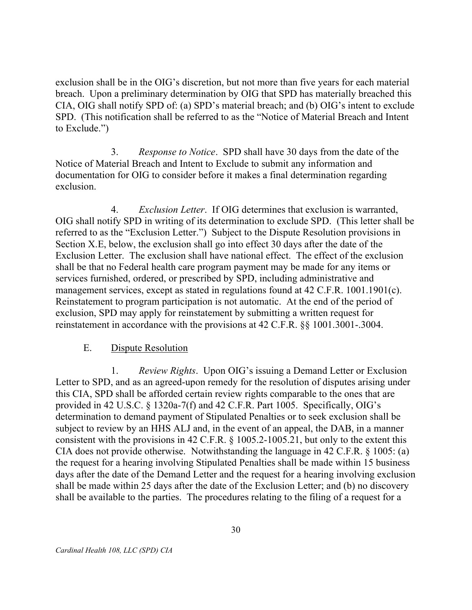exclusion shall be in the OIG's discretion, but not more than five years for each material breach. Upon a preliminary determination by OIG that SPD has materially breached this CIA, OIG shall notify SPD of: (a) SPD's material breach; and (b) OIG's intent to exclude SPD. (This notification shall be referred to as the "Notice of Material Breach and Intent to Exclude.")

3. Notice of Material Breach and Intent to Exclude to submit any information and documentation for OIG to consider before it makes a final determination regarding Response to Notice. SPD shall have 30 days from the date of the exclusion.

 $\mathbf{4}$  OIG shall notify SPD in writing of its determination to exclude SPD. (This letter shall be referred to as the "Exclusion Letter.") Subject to the Dispute Resolution provisions in Section X.E, below, the exclusion shall go into effect 30 days after the date of the Exclusion Letter. The exclusion shall have national effect. The effect of the exclusion shall be that no Federal health care program payment may be made for any items or services furnished, ordered, or prescribed by SPD, including administrative and management services, except as stated in regulations found at 42 C.F.R. 1001.1901(c). Reinstatement to program participation is not automatic. At the end of the period of exclusion, SPD may apply for reinstatement by submitting a written request for reinstatement in accordance with the provisions at 42 C.F.R. §§ 1001.3001-.3004. Exclusion Letter. If OIG determines that exclusion is warranted,

#### E. Dispute Resolution

 $1_{-}$  Letter to SPD, and as an agreed-upon remedy for the resolution of disputes arising under this CIA, SPD shall be afforded certain review rights comparable to the ones that are provided in 42 U.S.C. § 1320a-7(f) and 42 C.F.R. Part 1005. Specifically, OIG's determination to demand payment of Stipulated Penalties or to seek exclusion shall be subject to review by an HHS ALJ and, in the event of an appeal, the DAB, in a manner consistent with the provisions in 42 C.F.R. § 1005.2-1005.21, but only to the extent this CIA does not provide otherwise. Notwithstanding the language in 42 C.F.R. § 1005: (a) the request for a hearing involving Stipulated Penalties shall be made within 15 business days after the date of the Demand Letter and the request for a hearing involving exclusion shall be made within 25 days after the date of the Exclusion Letter; and (b) no discovery shall be available to the parties. The procedures relating to the filing of a request for a *Review Rights.* Upon OIG's issuing a Demand Letter or Exclusion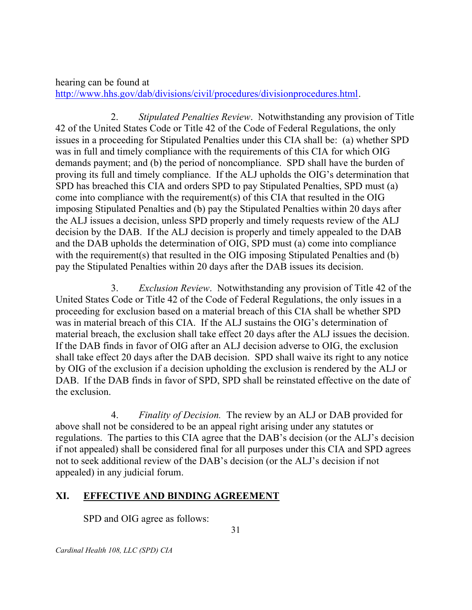hearing can be found at http://www.hhs.gov/dab/divisions/civil/procedures/divisionprocedures.html.

 $2.$  42 of the United States Code or Title 42 of the Code of Federal Regulations, the only issues in a proceeding for Stipulated Penalties under this CIA shall be: (a) whether SPD was in full and timely compliance with the requirements of this CIA for which OIG demands payment; and (b) the period of noncompliance. SPD shall have the burden of proving its full and timely compliance. If the ALJ upholds the OIG's determination that SPD has breached this CIA and orders SPD to pay Stipulated Penalties, SPD must (a) come into compliance with the requirement(s) of this CIA that resulted in the OIG imposing Stipulated Penalties and (b) pay the Stipulated Penalties within 20 days after the ALJ issues a decision, unless SPD properly and timely requests review of the ALJ decision by the DAB. If the ALJ decision is properly and timely appealed to the DAB and the DAB upholds the determination of OIG, SPD must (a) come into compliance with the requirement(s) that resulted in the OIG imposing Stipulated Penalties and (b) pay the Stipulated Penalties within 20 days after the DAB issues its decision. *Stipulated Penalties Review.* Notwithstanding any provision of Title

3. United States Code or Title 42 of the Code of Federal Regulations, the only issues in a proceeding for exclusion based on a material breach of this CIA shall be whether SPD was in material breach of this CIA. If the ALJ sustains the OIG's determination of material breach, the exclusion shall take effect 20 days after the ALJ issues the decision. If the DAB finds in favor of OIG after an ALJ decision adverse to OIG, the exclusion shall take effect 20 days after the DAB decision. SPD shall waive its right to any notice by OIG of the exclusion if a decision upholding the exclusion is rendered by the ALJ or DAB. If the DAB finds in favor of SPD, SPD shall be reinstated effective on the date of the exclusion. Exclusion Review. Notwithstanding any provision of Title 42 of the

 above shall not be considered to be an appeal right arising under any statutes or regulations. The parties to this CIA agree that the DAB's decision (or the ALJ's decision if not appealed) shall be considered final for all purposes under this CIA and SPD agrees not to seek additional review of the DAB's decision (or the ALJ's decision if not appealed) in any judicial forum. 4. Finality of Decision. The review by an ALJ or DAB provided for

### XI. EFFECTIVE AND BINDING AGREEMENT

SPD and OIG agree as follows:

Cardinal Health 108, LLC (SPD) CIA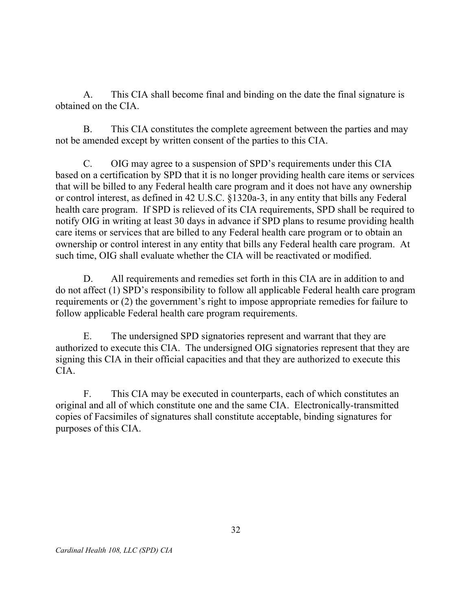$A_{\cdot}$  obtained on the CIA. This CIA shall become final and binding on the date the final signature is

 $\mathbf{B}$  not be amended except by written consent of the parties to this CIA. This CIA constitutes the complete agreement between the parties and may

 $C_{\cdot}$  based on a certification by SPD that it is no longer providing health care items or services that will be billed to any Federal health care program and it does not have any ownership or control interest, as defined in 42 U.S.C. §1320a-3, in any entity that bills any Federal health care program. If SPD is relieved of its CIA requirements, SPD shall be required to notify OIG in writing at least 30 days in advance if SPD plans to resume providing health care items or services that are billed to any Federal health care program or to obtain an ownership or control interest in any entity that bills any Federal health care program. At such time, OIG shall evaluate whether the CIA will be reactivated or modified. OIG may agree to a suspension of SPD's requirements under this CIA

D. do not affect (1) SPD's responsibility to follow all applicable Federal health care program requirements or (2) the government's right to impose appropriate remedies for failure to follow applicable Federal health care program requirements. All requirements and remedies set forth in this CIA are in addition to and

E. authorized to execute this CIA. The undersigned OIG signatories represent that they are signing this CIA in their official capacities and that they are authorized to execute this The undersigned SPD signatories represent and warrant that they are CIA.

 $F_{\cdot}$  original and all of which constitute one and the same CIA. Electronically-transmitted copies of Facsimiles of signatures shall constitute acceptable, binding signatures for purposes of this CIA. This CIA may be executed in counterparts, each of which constitutes an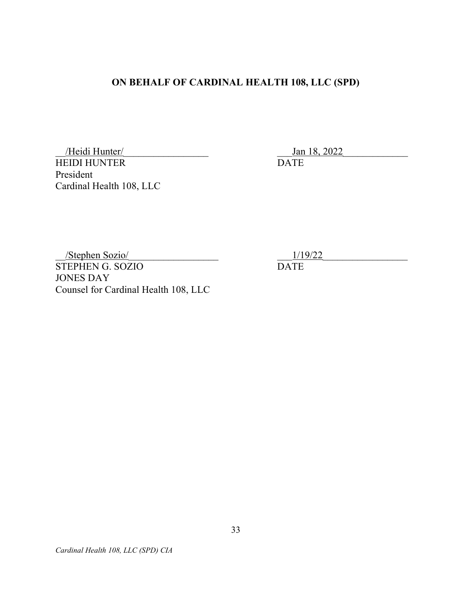### ON BEHALF OF CARDINAL HEALTH 108, LLC (SPD)

 HEIDI HUNTER Cardinal Health 108, LLC /Heidi Hunter/ President

Jan 18, 2022 DATE

 STEPHEN G. SOZIO JONES DAY Counsel for Cardinal Health 108, LLC \_\_/Stephen Sozio/\_\_\_\_\_\_\_\_\_\_\_\_\_\_\_\_\_\_

\_\_\_1/19/22\_\_\_\_\_\_\_\_\_\_\_\_\_\_\_\_\_

DATE

Cardinal Health 108, LLC (SPD) CIA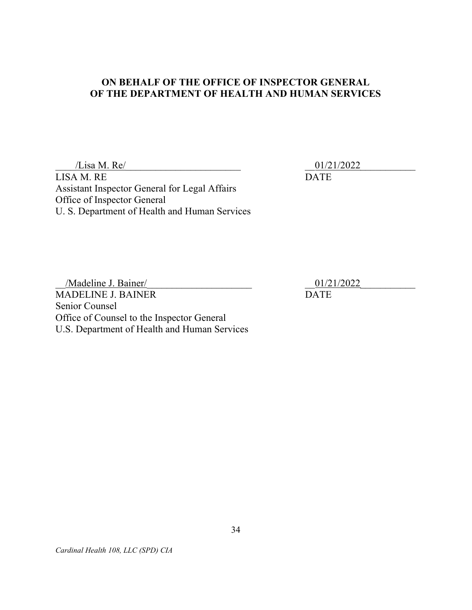### ON BEHALF OF THE OFFICE OF INSPECTOR GENERAL OF THE DEPARTMENT OF HEALTH AND HUMAN SERVICES

 $\frac{1}{2}$  a M. Re/ LISA M. RE DATE Assistant Inspector General for Legal Affairs Office of Inspector General U. S. Department of Health and Human Services

 \_\_/Madeline J. Bainer/\_\_\_\_\_\_\_\_\_\_\_\_\_\_\_\_\_\_\_\_\_ \_\_01/21/2022\_\_\_\_\_\_\_\_\_\_\_ MADELINE J. BAINER DATE Senior Counsel Office of Counsel to the Inspector General U.S. Department of Health and Human Services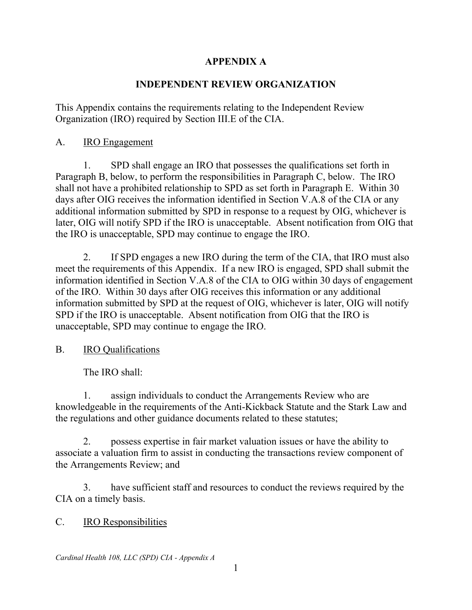### **APPENDIX A**

### **INDEPENDENT REVIEW ORGANIZATION**

Organization (IRO) required by Section III.E of the CIA.<br>A. IRO Engagement This Appendix contains the requirements relating to the Independent Review

1. shall not have a prohibited relationship to SPD as set forth in Paragraph E. Within 30 days after OIG receives the information identified in Section V.A.8 of the CIA or any 1. SPD shall engage an IRO that possesses the qualifications set forth in Paragraph B, below, to perform the responsibilities in Paragraph C, below. The IRO additional information submitted by SPD in response to a request by OIG, whichever is later, OIG will notify SPD if the IRO is unacceptable. Absent notification from OIG that the IRO is unacceptable, SPD may continue to engage the IRO.

2. 2. If SPD engages a new IRO during the term of the CIA, that IRO must also meet the requirements of this Appendix. If a new IRO is engaged, SPD shall submit the information identified in Section V.A.8 of the CIA to OIG within 30 days of engagement of the IRO. Within 30 days after OIG receives this information or any additional information submitted by SPD at the request of OIG, whichever is later, OIG will notify SPD if the IRO is unacceptable. Absent notification from OIG that the IRO is unacceptable, SPD may continue to engage the IRO.

### B. IRO Qualifications

The IRO shall:

 1. assign individuals to conduct the Arrangements Review who are knowledgeable in the requirements of the Anti-Kickback Statute and the Stark Law and the regulations and other guidance documents related to these statutes;

2. possess expertise in fair market valuation issues or have the ability to associate a valuation firm to assist in conducting the transactions review component of the Arrangements Review; and

 3. have sufficient staff and resources to conduct the reviews required by the CIA on a timely basis.

### C. IRO Responsibilities

 *Cardinal Health 108, LLC (SPD) CIA - Appendix A*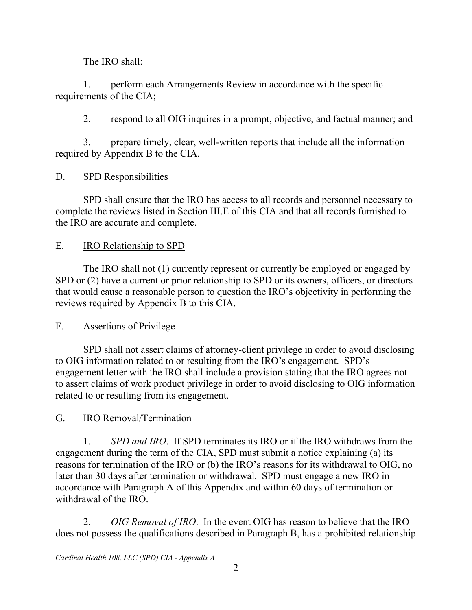The IRO shall:

1. perform each Arrangements Review in accordance with the specific requirements of the CIA;

2. respond to all OIG inquires in a prompt, objective, and factual manner; and

3. prepare timely, clear, well-written reports that include all the information required by Appendix B to the CIA.

 $D_{\cdot}$ SPD Responsibilities

SPD shall ensure that the IRO has access to all records and personnel necessary to complete the reviews listed in Section III.E of this CIA and that all records furnished to the IRO are accurate and complete.

## IRO Relationship to SPD

 that would cause a reasonable person to question the IRO's objectivity in performing the E. IRO Relationship to SPD<br>The IRO shall not (1) currently represent or currently be employed or engaged by SPD or  $(2)$  have a current or prior relationship to SPD or its owners, officers, or directors reviews required by Appendix B to this CIA.

F. Assertions of Privilege

 to assert claims of work product privilege in order to avoid disclosing to OIG information SPD shall not assert claims of attorney-client privilege in order to avoid disclosing to OIG information related to or resulting from the IRO's engagement. SPD's engagement letter with the IRO shall include a provision stating that the IRO agrees not related to or resulting from its engagement.

# G. IRO Removal/Termination

 reasons for termination of the IRO or (b) the IRO's reasons for its withdrawal to OIG, no 1. *SPD and IRO*. If SPD terminates its IRO or if the IRO withdraws from the engagement during the term of the CIA, SPD must submit a notice explaining (a) its later than 30 days after termination or withdrawal. SPD must engage a new IRO in accordance with Paragraph A of this Appendix and within 60 days of termination or withdrawal of the IRO.

 2. *OIG Removal of IRO*. In the event OIG has reason to believe that the IRO does not possess the qualifications described in Paragraph B, has a prohibited relationship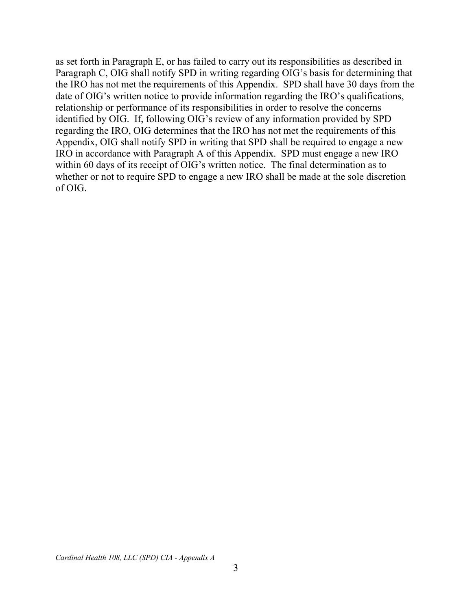the IRO has not met the requirements of this Appendix. SPD shall have 30 days from the identified by OIG. If, following OIG's review of any information provided by SPD within 60 days of its receipt of OIG's written notice. The final determination as to as set forth in Paragraph E, or has failed to carry out its responsibilities as described in Paragraph C, OIG shall notify SPD in writing regarding OIG's basis for determining that date of OIG's written notice to provide information regarding the IRO's qualifications, relationship or performance of its responsibilities in order to resolve the concerns regarding the IRO, OIG determines that the IRO has not met the requirements of this Appendix, OIG shall notify SPD in writing that SPD shall be required to engage a new IRO in accordance with Paragraph A of this Appendix. SPD must engage a new IRO whether or not to require SPD to engage a new IRO shall be made at the sole discretion of OIG.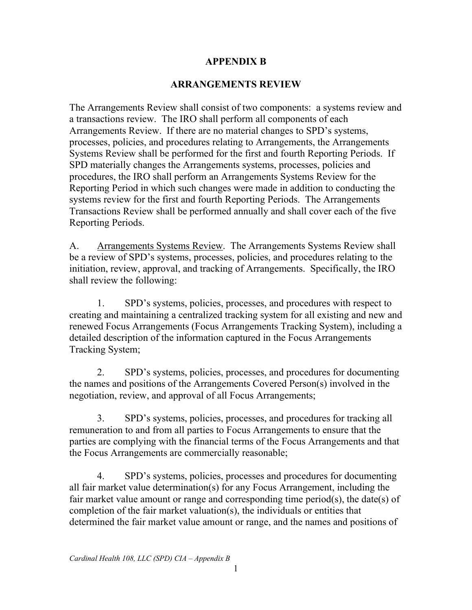### **APPENDIX B**

### **ARRANGEMENTS REVIEW**

The Arrangements Review shall consist of two components: a systems review and a transactions review. The IRO shall perform all components of each Arrangements Review. If there are no material changes to SPD's systems, processes, policies, and procedures relating to Arrangements, the Arrangements Systems Review shall be performed for the first and fourth Reporting Periods. If SPD materially changes the Arrangements systems, processes, policies and procedures, the IRO shall perform an Arrangements Systems Review for the Reporting Period in which such changes were made in addition to conducting the systems review for the first and fourth Reporting Periods. The Arrangements Transactions Review shall be performed annually and shall cover each of the five Reporting Periods.

A. Arrangements Systems Review. The Arrangements Systems Review shall be a review of SPD's systems, processes, policies, and procedures relating to the initiation, review, approval, and tracking of Arrangements. Specifically, the IRO shall review the following:

1. SPD's systems, policies, processes, and procedures with respect to creating and maintaining a centralized tracking system for all existing and new and renewed Focus Arrangements (Focus Arrangements Tracking System), including a detailed description of the information captured in the Focus Arrangements Tracking System;

2. SPD's systems, policies, processes, and procedures for documenting the names and positions of the Arrangements Covered Person(s) involved in the negotiation, review, and approval of all Focus Arrangements;

 parties are complying with the financial terms of the Focus Arrangements and that 3. SPD's systems, policies, processes, and procedures for tracking all remuneration to and from all parties to Focus Arrangements to ensure that the the Focus Arrangements are commercially reasonable;

 fair market value amount or range and corresponding time period(s), the date(s) of 4. SPD's systems, policies, processes and procedures for documenting all fair market value determination(s) for any Focus Arrangement, including the completion of the fair market valuation(s), the individuals or entities that determined the fair market value amount or range, and the names and positions of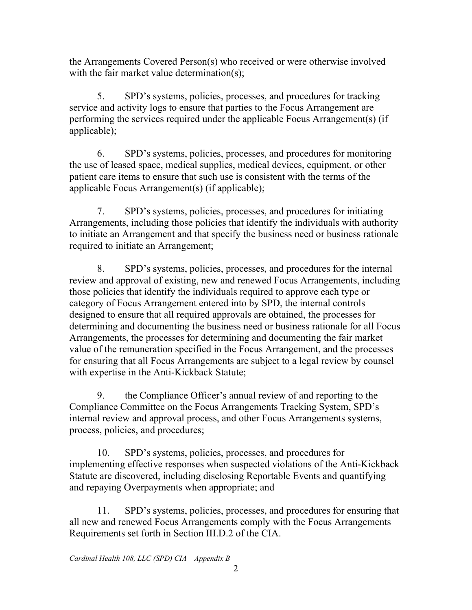the Arrangements Covered Person(s) who received or were otherwise involved with the fair market value determination(s);

5. SPD's systems, policies, processes, and procedures for tracking service and activity logs to ensure that parties to the Focus Arrangement are performing the services required under the applicable Focus Arrangement(s) (if applicable);

6. SPD's systems, policies, processes, and procedures for monitoring the use of leased space, medical supplies, medical devices, equipment, or other patient care items to ensure that such use is consistent with the terms of the applicable Focus Arrangement(s) (if applicable);

7. SPD's systems, policies, processes, and procedures for initiating Arrangements, including those policies that identify the individuals with authority to initiate an Arrangement and that specify the business need or business rationale required to initiate an Arrangement;

 category of Focus Arrangement entered into by SPD, the internal controls Arrangements, the processes for determining and documenting the fair market value of the remuneration specified in the Focus Arrangement, and the processes 8. SPD's systems, policies, processes, and procedures for the internal review and approval of existing, new and renewed Focus Arrangements, including those policies that identify the individuals required to approve each type or designed to ensure that all required approvals are obtained, the processes for determining and documenting the business need or business rationale for all Focus for ensuring that all Focus Arrangements are subject to a legal review by counsel with expertise in the Anti-Kickback Statute;

 9. the Compliance Officer's annual review of and reporting to the Compliance Committee on the Focus Arrangements Tracking System, SPD's internal review and approval process, and other Focus Arrangements systems, process, policies, and procedures;

 Statute are discovered, including disclosing Reportable Events and quantifying 10. SPD's systems, policies, processes, and procedures for implementing effective responses when suspected violations of the Anti-Kickback and repaying Overpayments when appropriate; and

 Requirements set forth in Section III.D.2 of the CIA. 11. SPD's systems, policies, processes, and procedures for ensuring that all new and renewed Focus Arrangements comply with the Focus Arrangements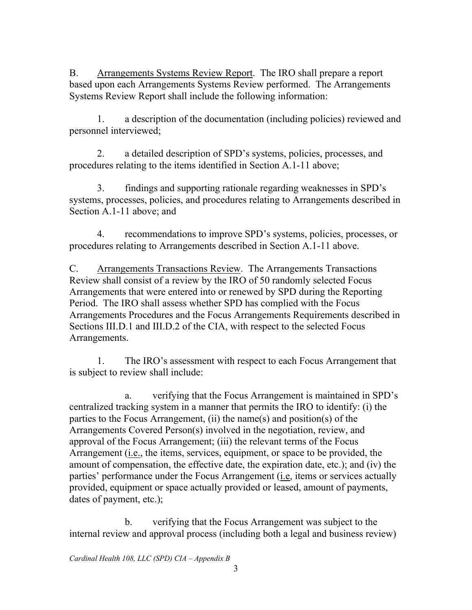B. Arrangements Systems Review Report. The IRO shall prepare a report based upon each Arrangements Systems Review performed. The Arrangements Systems Review Report shall include the following information:

1. a description of the documentation (including policies) reviewed and personnel interviewed;

 procedures relating to the items identified in Section A.1-11 above; 2. a detailed description of SPD's systems, policies, processes, and

 Section A.1-11 above; and 3. findings and supporting rationale regarding weaknesses in SPD's systems, processes, policies, and procedures relating to Arrangements described in

 procedures relating to Arrangements described in Section A.1-11 above. 4. recommendations to improve SPD's systems, policies, processes, or

C. Arrangements Transactions Review. The Arrangements Transactions Review shall consist of a review by the IRO of 50 randomly selected Focus Arrangements that were entered into or renewed by SPD during the Reporting Period. The IRO shall assess whether SPD has complied with the Focus Arrangements Procedures and the Focus Arrangements Requirements described in Sections III.D.1 and III.D.2 of the CIA, with respect to the selected Focus Arrangements.

1. The IRO's assessment with respect to each Focus Arrangement that is subject to review shall include:

parties' performance under the Focus Arrangement (*i.e*, items or services actually a. verifying that the Focus Arrangement is maintained in SPD's centralized tracking system in a manner that permits the IRO to identify: (i) the parties to the Focus Arrangement, (ii) the name(s) and position(s) of the Arrangements Covered Person(s) involved in the negotiation, review, and approval of the Focus Arrangement; (iii) the relevant terms of the Focus Arrangement (*i.e.*, the items, services, equipment, or space to be provided, the amount of compensation, the effective date, the expiration date, etc.); and (iv) the provided, equipment or space actually provided or leased, amount of payments, dates of payment, etc.);

b. verifying that the Focus Arrangement was subject to the internal review and approval process (including both a legal and business review)

 *Cardinal Health 108, LLC (SPD) CIA – Appendix B*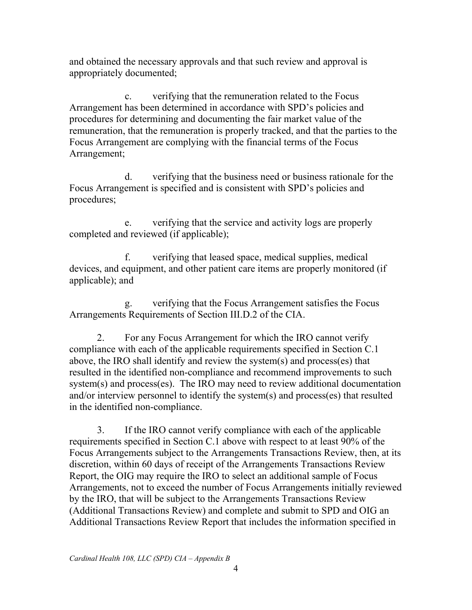and obtained the necessary approvals and that such review and approval is appropriately documented;

 remuneration, that the remuneration is properly tracked, and that the parties to the c. verifying that the remuneration related to the Focus Arrangement has been determined in accordance with SPD's policies and procedures for determining and documenting the fair market value of the Focus Arrangement are complying with the financial terms of the Focus Arrangement;

d. verifying that the business need or business rationale for the Focus Arrangement is specified and is consistent with SPD's policies and procedures;

e. verifying that the service and activity logs are properly completed and reviewed (if applicable);

f. verifying that leased space, medical supplies, medical devices, and equipment, and other patient care items are properly monitored (if applicable); and

Arrangements Requirements of Section III.D.2 of the CIA. g. verifying that the Focus Arrangement satisfies the Focus

 compliance with each of the applicable requirements specified in Section C.1 2. For any Focus Arrangement for which the IRO cannot verify above, the IRO shall identify and review the system(s) and process(es) that resulted in the identified non-compliance and recommend improvements to such system(s) and process(es). The IRO may need to review additional documentation and/or interview personnel to identify the system(s) and process(es) that resulted in the identified non-compliance.

 discretion, within 60 days of receipt of the Arrangements Transactions Review (Additional Transactions Review) and complete and submit to SPD and OIG an 3. If the IRO cannot verify compliance with each of the applicable requirements specified in Section C.1 above with respect to at least 90% of the Focus Arrangements subject to the Arrangements Transactions Review, then, at its Report, the OIG may require the IRO to select an additional sample of Focus Arrangements, not to exceed the number of Focus Arrangements initially reviewed by the IRO, that will be subject to the Arrangements Transactions Review Additional Transactions Review Report that includes the information specified in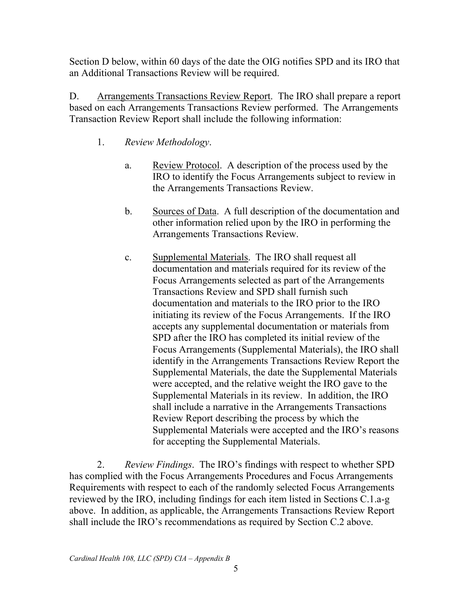Section D below, within 60 days of the date the OIG notifies SPD and its IRO that an Additional Transactions Review will be required.

an Additional Transactions Review will be required.<br>D. Arrangements Transactions Review Report. The IRO shall prepare a report based on each Arrangements Transactions Review performed. The Arrangements Transaction Review Report shall include the following information:

- 1. *Review Methodology*.
	- a. Review Protocol. A description of the process used by the IRO to identify the Focus Arrangements subject to review in the Arrangements Transactions Review.
	- b. Sources of Data. A full description of the documentation and other information relied upon by the IRO in performing the Arrangements Transactions Review.
	- c. Supplemental Materials. The IRO shall request all initiating its review of the Focus Arrangements. If the IRO SPD after the IRO has completed its initial review of the Supplemental Materials in its review. In addition, the IRO Review Report describing the process by which the documentation and materials required for its review of the Focus Arrangements selected as part of the Arrangements Transactions Review and SPD shall furnish such documentation and materials to the IRO prior to the IRO accepts any supplemental documentation or materials from Focus Arrangements (Supplemental Materials), the IRO shall identify in the Arrangements Transactions Review Report the Supplemental Materials, the date the Supplemental Materials were accepted, and the relative weight the IRO gave to the shall include a narrative in the Arrangements Transactions Supplemental Materials were accepted and the IRO's reasons for accepting the Supplemental Materials.

2. *Review Findings*. The IRO's findings with respect to whether SPD has complied with the Focus Arrangements Procedures and Focus Arrangements Requirements with respect to each of the randomly selected Focus Arrangements reviewed by the IRO, including findings for each item listed in Sections C.1.a-g above. In addition, as applicable, the Arrangements Transactions Review Report shall include the IRO's recommendations as required by Section C.2 above.